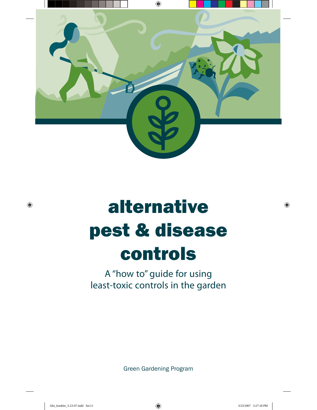

# alternative pest & disease controls

# A "how to" guide for using least-toxic controls in the garden

Green Gardening Program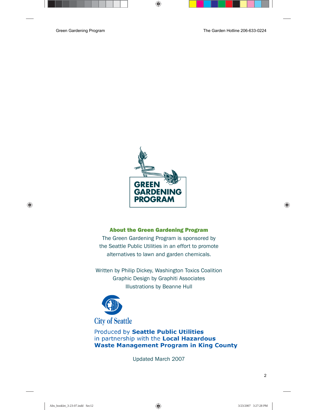

#### About the Green Gardening Program

The Green Gardening Program is sponsored by the Seattle Public Utilities in an effort to promote alternatives to lawn and garden chemicals.

Written by Philip Dickey, Washington Toxics Coalition Graphic Design by Graphiti Associates Illustrations by Beanne Hull



**City of Seattle** 

Produced by Seattle Public Utilities in partnership with the Local Hazardous **Waste Management Program in King County** 

Updated March 2007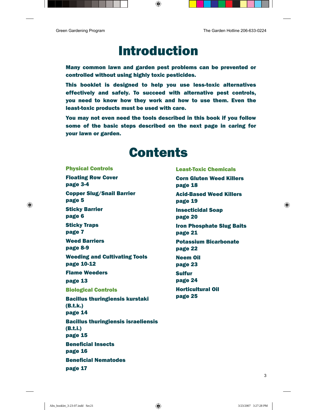# Introduction

Many common lawn and garden pest problems can be prevented or controlled without using highly toxic pesticides.

This booklet is designed to help you use less-toxic alternatives effectively and safely. To succeed with alternative pest controls, you need to know how they work and how to use them. Even the least-toxic products must be used with care.

You may not even need the tools described in this book if you follow some of the basic steps described on the next page in caring for your lawn or garden.

# **Contents**

Physical Controls [Floating Row Cover](#page-4-0)  page 3-4 [Copper Slug/Snail Barrier](#page-6-0)  page 5 [Sticky Barrier](#page-7-0)  page 6 [Sticky Traps](#page-8-0)  page 7 [Weed Barriers](#page-9-0)  page 8-9 [Weeding and Cultivating Tools](#page-11-0)  page 10-12 [Flame Weeders](#page-14-0)  page 13 Biological Controls [Bacillus thuringiensis kurstaki](#page-15-0)  (B.t.k.) page 14 [Bacillus thuringiensis israeliensis](#page-16-0)  (B.t.i.) page 15 [Beneficial Insects](#page-17-0)  page 16 [Beneficial Nematodes](#page-18-0)  page 17

Least-Toxic Chemicals [Corn Gluten Weed Killers](#page-19-0)  page 18 [Acid-Based Weed Killers](#page-20-0)  page 19 [Insecticidal Soap](#page-21-0)  page 20 [Iron Phosphate Slug Baits](#page-22-0)  page 21 [Potassium Bicarbonate](#page-23-0)  page 22 [Neem Oil](#page-24-0)  page 23 [Sulfur](#page-25-0)  page 24 [Horticultural Oil](#page-26-0)  page 25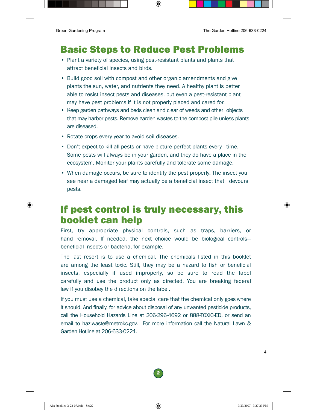### Basic Steps to Reduce Pest Problems

- Plant a variety of species, using pest-resistant plants and plants that attract beneficial insects and birds.
- Build good soil with compost and other organic amendments and give plants the sun, water, and nutrients they need. A healthy plant is better able to resist insect pests and diseases, but even a pest-resistant plant may have pest problems if it is not properly placed and cared for.
- Keep garden pathways and beds clean and clear of weeds and other objects that may harbor pests. Remove garden wastes to the compost pile unless plants are diseased.
- Rotate crops every year to avoid soil diseases.
- Don't expect to kill all pests or have picture-perfect plants every time. Some pests will always be in your garden, and they do have a place in the ecosystem. Monitor your plants carefully and tolerate some damage.
- When damage occurs, be sure to identify the pest properly. The insect you see near a damaged leaf may actually be a beneficial insect that devours pests.

### If pest control is truly necessary, this booklet can help

First, try appropriate physical controls, such as traps, barriers, or hand removal. If needed, the next choice would be biological controls beneficial insects or bacteria, for example.

The last resort is to use a chemical. The chemicals listed in this booklet are among the least toxic. Still, they may be a hazard to fish or beneficial insects, especially if used improperly, so be sure to read the label carefully and use the product only as directed. You are breaking federal law if you disobey the directions on the label.

If you must use a chemical, take special care that the chemical only goes where it should. And finally, for advice about disposal of any unwanted pesticide products, call the Household Hazards Line at 206-296-4692 or 888-TOXIC-ED, or send an email to haz.waste@metrokc.gov. For more information call the Natural Lawn & Garden Hotline at 206-633-0224.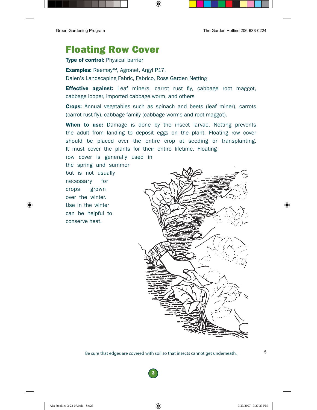### <span id="page-4-0"></span>Floating Row Cover

Type of control: Physical barrier

Examples: Reemay™, Agronet, Argyl P17, Dalen's Landscaping Fabric, Fabrico, Ross Garden Netting

**Effective against:** Leaf miners, carrot rust fly, cabbage root maggot, cabbage looper, imported cabbage worm, and others

Crops: Annual vegetables such as spinach and beets (leaf miner), carrots (carrot rust fly), cabbage family (cabbage worms and root maggot).

When to use: Damage is done by the insect larvae. Netting prevents the adult from landing to deposit eggs on the plant. Floating row cover should be placed over the entire crop at seeding or transplanting. It must cover the plants for their entire lifetime. Floating

row cover is generally used in the spring and summer but is not usually necessary for crops grown over the winter. Use in the winter can be helpful to conserve heat.

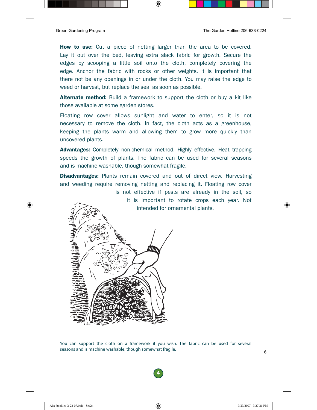**How to use:** Cut a piece of netting larger than the area to be covered. Lay it out over the bed, leaving extra slack fabric for growth. Secure the edges by scooping a little soil onto the cloth, completely covering the edge. Anchor the fabric with rocks or other weights. It is important that there not be any openings in or under the cloth. You may raise the edge to weed or harvest, but replace the seal as soon as possible.

**Alternate method:** Build a framework to support the cloth or buy a kit like those available at some garden stores.

Floating row cover allows sunlight and water to enter, so it is not necessary to remove the cloth. In fact, the cloth acts as a greenhouse, keeping the plants warm and allowing them to grow more quickly than uncovered plants.

**Advantages:** Completely non-chemical method. Highly effective. Heat trapping speeds the growth of plants. The fabric can be used for several seasons and is machine washable, though somewhat fragile.

**Disadvantages:** Plants remain covered and out of direct view. Harvesting and weeding require removing netting and replacing it. Floating row cover

> is not effective if pests are already in the soil, so it is important to rotate crops each year. Not intended for ornamental plants.



You can support the cloth on a framework if you wish. The fabric can be used for several seasons and is machine washable, though somewhat fragile.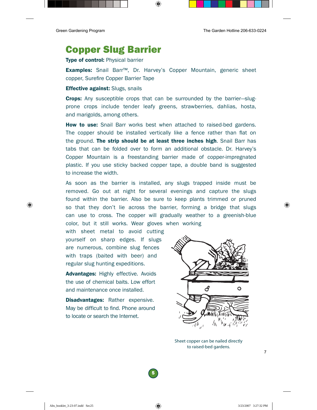### <span id="page-6-0"></span>Copper Slug Barrier

**Type of control: Physical barrier** 

Examples: Snail Barr™, Dr. Harvey's Copper Mountain, generic sheet copper, Surefire Copper Barrier Tape

#### **Effective against:** Slugs, snails

**Crops:** Any susceptible crops that can be surrounded by the barrier—slugprone crops include tender leafy greens, strawberries, dahlias, hosta, and marigolds, among others.

**How to use:** Snail Barr works best when attached to raised-bed gardens. The copper should be installed vertically like a fence rather than flat on the ground. The strip should be at least three inches high. Snail Barr has tabs that can be folded over to form an additional obstacle. Dr. Harvey's Copper Mountain is a freestanding barrier made of copper-impregnated plastic. If you use sticky backed copper tape, a double band is suggested to increase the width.

As soon as the barrier is installed, any slugs trapped inside must be removed. Go out at night for several evenings and capture the slugs found within the barrier. Also be sure to keep plants trimmed or pruned so that they don't lie across the barrier, forming a bridge that slugs can use to cross. The copper will gradually weather to a greenish-blue color, but it still works. Wear gloves when working

with sheet metal to avoid cutting yourself on sharp edges. If slugs are numerous, combine slug fences with traps (baited with beer) and regular slug hunting expeditions.

Advantages: Highly effective. Avoids the use of chemical baits. Low effort and maintenance once installed.

**Disadvantages:** Rather expensive. May be difficult to find. Phone around to locate or search the Internet.



Sheet copper can be nailed directly to raised-bed gardens.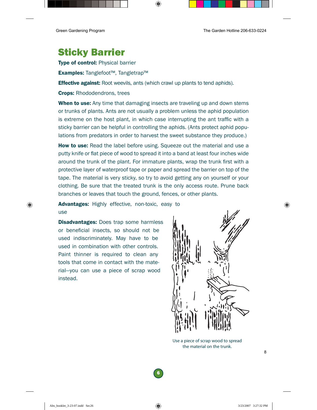## <span id="page-7-0"></span>Sticky Barrier

**Type of control: Physical barrier** 

Examples: Tanglefoot™, Tangletrap™

**Effective against:** Root weevils, ants (which crawl up plants to tend aphids).

Crops: Rhododendrons, trees

**When to use:** Any time that damaging insects are traveling up and down stems or trunks of plants. Ants are not usually a problem unless the aphid population is extreme on the host plant, in which case interrupting the ant traffic with a sticky barrier can be helpful in controlling the aphids. (Ants protect aphid populations from predators in order to harvest the sweet substance they produce.)

**How to use:** Read the label before using. Squeeze out the material and use a putty knife or flat piece of wood to spread it into a band at least four inches wide around the trunk of the plant. For immature plants, wrap the trunk first with a protective layer of waterproof tape or paper and spread the barrier on top of the tape. The material is very sticky, so try to avoid getting any on yourself or your clothing. Be sure that the treated trunk is the only access route. Prune back branches or leaves that touch the ground, fences, or other plants.

Advantages: Highly effective, non-toxic, easy to use

**Disadvantages:** Does trap some harmless or beneficial insects, so should not be used indiscriminately. May have to be used in combination with other controls. Paint thinner is required to clean any tools that come in contact with the material—you can use a piece of scrap wood instead.



Use a piece of scrap wood to spread the material on the trunk.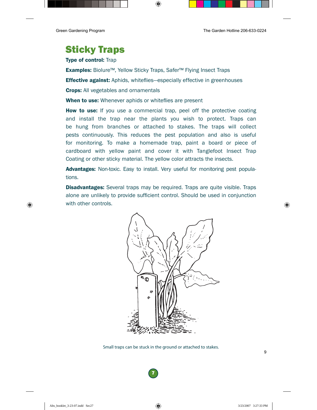### <span id="page-8-0"></span>Sticky Traps

**Type of control: Trap** 

Examples: Biolure™, Yellow Sticky Traps, Safer™ Flying Insect Traps

**Effective against:** Aphids, whiteflies—especially effective in greenhouses

**Crops:** All vegetables and ornamentals

When to use: Whenever aphids or whiteflies are present

**How to use:** If you use a commercial trap, peel off the protective coating and install the trap near the plants you wish to protect. Traps can be hung from branches or attached to stakes. The traps will collect pests continuously. This reduces the pest population and also is useful for monitoring. To make a homemade trap, paint a board or piece of cardboard with yellow paint and cover it with Tanglefoot Insect Trap Coating or other sticky material. The yellow color attracts the insects.

Advantages: Non-toxic. Easy to install. Very useful for monitoring pest populations.

**Disadvantages:** Several traps may be required. Traps are quite visible. Traps alone are unlikely to provide sufficient control. Should be used in conjunction with other controls.



Small traps can be stuck in the ground or attached to stakes.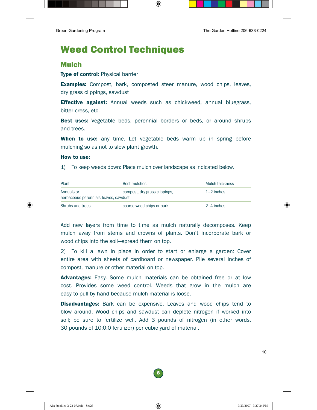## <span id="page-9-0"></span>Weed Control Techniques

### Mulch

#### Type of control: Physical barrier

**Examples:** Compost, bark, composted steer manure, wood chips, leaves, dry grass clippings, sawdust

**Effective against:** Annual weeds such as chickweed, annual bluegrass, bitter cress, etc.

**Best uses:** Vegetable beds, perennial borders or beds, or around shrubs and trees.

When to use: any time. Let vegetable beds warm up in spring before mulching so as not to slow plant growth.

#### How to use:

1) To keep weeds down: Place mulch over landscape as indicated below.

| Plant                                               | <b>Best mulches</b>           | Mulch thickness |
|-----------------------------------------------------|-------------------------------|-----------------|
| Annuals or<br>herbaceous perennials leaves, sawdust | compost, dry grass clippings, | $1-2$ inches    |
| Shrubs and trees                                    | coarse wood chips or bark     | 2-4 inches      |

Add new layers from time to time as mulch naturally decomposes. Keep mulch away from stems and crowns of plants. Don't incorporate bark or wood chips into the soil—spread them on top.

2) To kill a lawn in place in order to start or enlarge a garden: Cover entire area with sheets of cardboard or newspaper. Pile several inches of compost, manure or other material on top.

Advantages: Easy. Some mulch materials can be obtained free or at low cost. Provides some weed control. Weeds that grow in the mulch are easy to pull by hand because mulch material is loose.

**Disadvantages:** Bark can be expensive. Leaves and wood chips tend to blow around. Wood chips and sawdust can deplete nitrogen if worked into soil; be sure to fertilize well. Add 3 pounds of nitrogen (in other words, 30 pounds of 10:0:0 fertilizer) per cubic yard of material.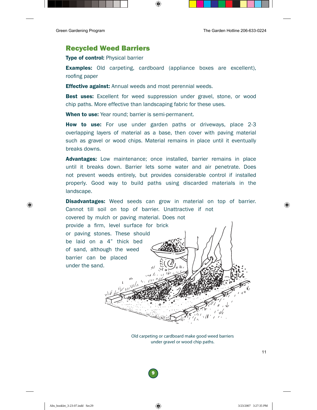### Recycled Weed Barriers

**Type of control: Physical barrier** 

**Examples:** Old carpeting, cardboard (appliance boxes are excellent), roofing paper

**Effective against:** Annual weeds and most perennial weeds.

**Best uses:** Excellent for weed suppression under gravel, stone, or wood chip paths. More effective than landscaping fabric for these uses.

When to use: Year round: barrier is semi-permanent.

How to use: For use under garden paths or driveways, place 2-3 overlapping layers of material as a base, then cover with paving material such as gravel or wood chips. Material remains in place until it eventually breaks downs.

**Advantages:** Low maintenance; once installed, barrier remains in place until it breaks down. Barrier lets some water and air penetrate. Does not prevent weeds entirely, but provides considerable control if installed properly. Good way to build paths using discarded materials in the landscape.

**Disadvantages:** Weed seeds can grow in material on top of barrier. Cannot till soil on top of barrier. Unattractive if not covered by mulch or paving material. Does not provide a firm, level surface for brick or paving stones. These should be laid on a 4" thick bed of sand, although the weed barrier can be placed under the sand.  $\sqrt{ }$ 

Old carpeting or cardboard make good weed barriers under gravel or wood chip paths.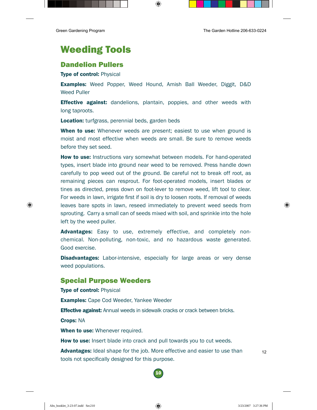# <span id="page-11-0"></span>Weeding Tools

### Dandelion Pullers

Type of control: Physical

Examples: Weed Popper, Weed Hound, Amish Ball Weeder, Diggit, D&D Weed Puller

**Effective against:** dandelions, plantain, poppies, and other weeds with long taproots.

Location: turfgrass, perennial beds, garden beds

**When to use:** Whenever weeds are present; easiest to use when ground is moist and most effective when weeds are small. Be sure to remove weeds before they set seed.

**How to use:** Instructions vary somewhat between models. For hand-operated types, insert blade into ground near weed to be removed. Press handle down carefully to pop weed out of the ground. Be careful not to break off root, as remaining pieces can resprout. For foot-operated models, insert blades or tines as directed, press down on foot-lever to remove weed, lift tool to clear. For weeds in lawn, irrigate first if soil is dry to loosen roots. If removal of weeds leaves bare spots in lawn, reseed immediately to prevent weed seeds from sprouting. Carry a small can of seeds mixed with soil, and sprinkle into the hole left by the weed puller.

Advantages: Easy to use, extremely effective, and completely nonchemical. Non-polluting, non-toxic, and no hazardous waste generated. Good exercise.

**Disadvantages:** Labor-intensive, especially for large areas or very dense weed populations.

### Special Purpose Weeders

**Type of control: Physical Examples:** Cape Cod Weeder, Yankee Weeder **Effective against:** Annual weeds in sidewalk cracks or crack between bricks. Crops: NA When to use: Whenever required. **How to use:** Insert blade into crack and pull towards you to cut weeds.

**Advantages:** Ideal shape for the job. More effective and easier to use than tools not specifically designed for this purpose.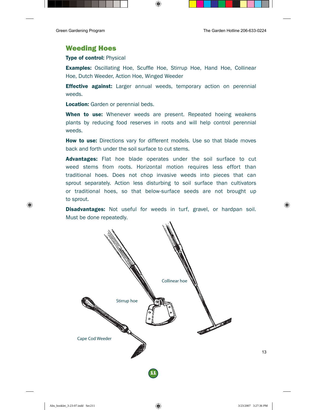### Weeding Hoes

#### **Type of control: Physical**

**Examples:** Oscillating Hoe, Scuffle Hoe, Stirrup Hoe, Hand Hoe, Collinear Hoe, Dutch Weeder, Action Hoe, Winged Weeder

**Effective against:** Larger annual weeds, temporary action on perennial weeds.

**Location:** Garden or perennial beds.

When to use: Whenever weeds are present. Repeated hoeing weakens plants by reducing food reserves in roots and will help control perennial weeds.

**How to use:** Directions vary for different models. Use so that blade moves back and forth under the soil surface to cut stems.

Advantages: Flat hoe blade operates under the soil surface to cut weed stems from roots. Horizontal motion requires less effort than traditional hoes. Does not chop invasive weeds into pieces that can sprout separately. Action less disturbing to soil surface than cultivators or traditional hoes, so that below-surface seeds are not brought up to sprout.

Disadvantages: Not useful for weeds in turf, gravel, or hardpan soil. Must be done repeatedly.

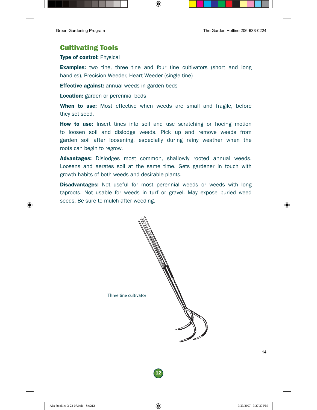### Cultivating Tools

#### Type of control: Physical

**Examples:** two tine, three tine and four tine cultivators (short and long handles), Precision Weeder, Heart Weeder (single tine)

**Effective against:** annual weeds in garden beds

Location: garden or perennial beds

**When to use:** Most effective when weeds are small and fragile, before they set seed.

**How to use:** Insert tines into soil and use scratching or hoeing motion to loosen soil and dislodge weeds. Pick up and remove weeds from garden soil after loosening, especially during rainy weather when the roots can begin to regrow.

Advantages: Dislodges most common, shallowly rooted annual weeds. Loosens and aerates soil at the same time. Gets gardener in touch with growth habits of both weeds and desirable plants.

**Disadvantages:** Not useful for most perennial weeds or weeds with long taproots. Not usable for weeds in turf or gravel. May expose buried weed seeds. Be sure to mulch after weeding.

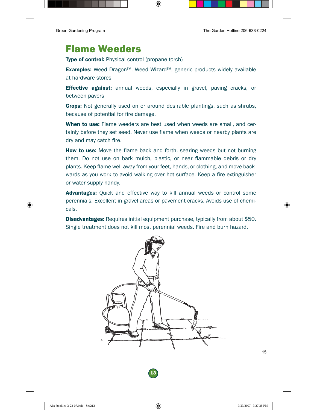### <span id="page-14-0"></span>Flame Weeders

**Type of control:** Physical control (propane torch)

Examples: Weed Dragon™, Weed Wizard™, generic products widely available at hardware stores

**Effective against:** annual weeds, especially in gravel, paving cracks, or between pavers

Crops: Not generally used on or around desirable plantings, such as shrubs, because of potential for fire damage.

When to use: Flame weeders are best used when weeds are small, and certainly before they set seed. Never use flame when weeds or nearby plants are dry and may catch fire.

**How to use:** Move the flame back and forth, searing weeds but not burning them. Do not use on bark mulch, plastic, or near flammable debris or dry plants. Keep flame well away from your feet, hands, or clothing, and move backwards as you work to avoid walking over hot surface. Keep a fire extinguisher or water supply handy.

Advantages: Ouick and effective way to kill annual weeds or control some perennials. Excellent in gravel areas or pavement cracks. Avoids use of chemicals.

**Disadvantages:** Requires initial equipment purchase, typically from about \$50. Single treatment does not kill most perennial weeds. Fire and burn hazard.

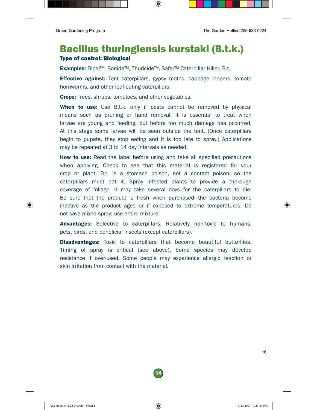### <span id="page-15-0"></span>Bacillus thuringiensis kurstaki (B.t.k.) Type of control: Biological

Examples: Dipel™, Bonide™, Thuricide™, Safer™ Caterpillar Killer, B.t.

**Effective against:** Tent caterpillars, gypsy moths, cabbage loopers, tomato hornworms, and other leaf-eating caterpillars.

Crops: Trees, shrubs, tomatoes, and other vegetables.

When to use: Use B.t.k. only if pests cannot be removed by physical means such as pruning or hand removal. It is essential to treat when larvae are young and feeding, but before too much damage has occurred. At this stage some larvae will be seen outside the tent. (Once caterpillars begin to pupate, they stop eating and it is too late to spray.) Applications may be repeated at 3 to 14 day intervals as needed.

**How to use:** Read the label before using and take all specified precautions when applying. Check to see that this material is registered for your crop or plant. B.t. is a stomach poison, not a contact poison, so the caterpillars must eat it. Spray infested plants to provide a thorough coverage of foliage. It may take several days for the caterpillars to die. Be sure that the product is fresh when purchased—the bacteria become inactive as the product ages or if exposed to extreme temperatures. Do not save mixed spray; use entire mixture.

Advantages: Selective to caterpillars. Relatively non-toxic to humans, pets, birds, and beneficial insects (except caterpillars).

**Disadvantages:** Toxic to caterpillars that become beautiful butterflies. Timing of spray is critical (see above). Some species may develop resistance if over-used. Some people may experience allergic reaction or skin irritation from contact with the material.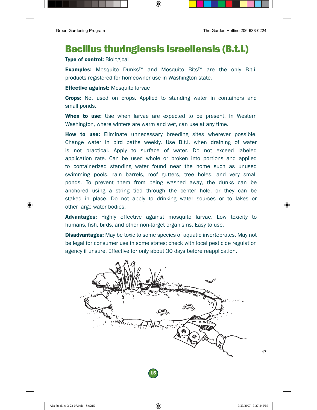### <span id="page-16-0"></span>Bacillus thuringiensis israeliensis (B.t.i.)

#### Type of control: Biological

Examples: Mosquito Dunks™ and Mosquito Bits™ are the only B.t.i. products registered for homeowner use in Washington state.

#### **Effective against:** Mosquito larvae

**Crops:** Not used on crops. Applied to standing water in containers and small ponds.

**When to use:** Use when larvae are expected to be present. In Western Washington, where winters are warm and wet, can use at any time.

How to use: Eliminate unnecessary breeding sites wherever possible. Change water in bird baths weekly. Use B.t.i. when draining of water is not practical. Apply to surface of water. Do not exceed labeled application rate. Can be used whole or broken into portions and applied to containerized standing water found near the home such as unused swimming pools, rain barrels, roof gutters, tree holes, and very small ponds. To prevent them from being washed away, the dunks can be anchored using a string tied through the center hole, or they can be staked in place. Do not apply to drinking water sources or to lakes or other large water bodies.

Advantages: Highly effective against mosquito larvae. Low toxicity to humans, fish, birds, and other non-target organisms. Easy to use.

**Disadvantages:** May be toxic to some species of aquatic invertebrates. May not be legal for consumer use in some states; check with local pesticide regulation agency if unsure. Effective for only about 30 days before reapplication.

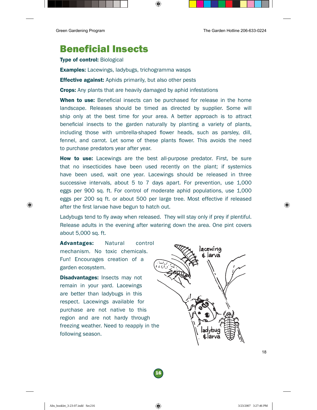### <span id="page-17-0"></span>Beneficial Insects

Type of control: Biological

**Examples:** Lacewings, ladybugs, trichogramma wasps

**Effective against:** Aphids primarily, but also other pests

**Crops:** Any plants that are heavily damaged by aphid infestations

When to use: Beneficial insects can be purchased for release in the home landscape. Releases should be timed as directed by supplier. Some will ship only at the best time for your area. A better approach is to attract beneficial insects to the garden naturally by planting a variety of plants, including those with umbrella-shaped flower heads, such as parsley, dill, fennel, and carrot. Let some of these plants flower. This avoids the need to purchase predators year after year.

**How to use:** Lacewings are the best all-purpose predator. First, be sure that no insecticides have been used recently on the plant; if systemics have been used, wait one year. Lacewings should be released in three successive intervals, about 5 to 7 days apart. For prevention, use 1,000 eggs per 900 sq. ft. For control of moderate aphid populations, use 1,000 eggs per 200 sq ft. or about 500 per large tree. Most effective if released after the first larvae have begun to hatch out.

Ladybugs tend to fly away when released. They will stay only if prey if plentiful. Release adults in the evening after watering down the area. One pint covers about 5,000 sq. ft.

Advantages: Natural control mechanism. No toxic chemicals. Fun! Encourages creation of a garden ecosystem.

**Disadvantages:** Insects may not remain in your yard. Lacewings are better than ladybugs in this respect. Lacewings available for purchase are not native to this region and are not hardy through freezing weather. Need to reapply in the following season.

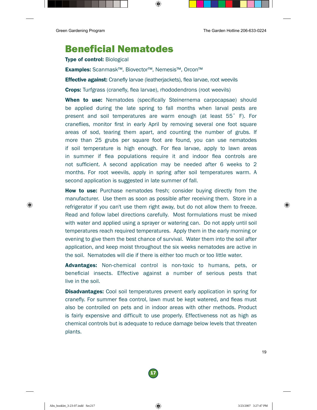### <span id="page-18-0"></span>Beneficial Nematodes

Type of control: Biological

Examples: Scanmask™, Biovector™, Nemesis™, Orcon™

**Effective against:** Cranefly larvae (leatherjackets), flea larvae, root weevils

Crops: Turfgrass (cranefly, flea larvae), rhododendrons (root weevils)

When to use: Nematodes (specifically Steinernema carpocapsae) should be applied during the late spring to fall months when larval pests are present and soil temperatures are warm enough (at least 55˚ F). For craneflies, monitor first in early April by removing several one foot square areas of sod, tearing them apart, and counting the number of grubs. If more than 25 grubs per square foot are found, you can use nematodes if soil temperature is high enough. For flea larvae, apply to lawn areas in summer if flea populations require it and indoor flea controls are not sufficient. A second application may be needed after 6 weeks to 2 months. For root weevils, apply in spring after soil temperatures warm. A second application is suggested in late summer of fall.

**How to use:** Purchase nematodes fresh; consider buying directly from the manufacturer. Use them as soon as possible after receiving them. Store in a refrigerator if you can't use them right away, but do not allow them to freeze. Read and follow label directions carefully. Most formulations must be mixed with water and applied using a sprayer or watering can. Do not apply until soil temperatures reach required temperatures. Apply them in the early morning or evening to give them the best chance of survival. Water them into the soil after application, and keep moist throughout the six weeks nematodes are active in the soil. Nematodes will die if there is either too much or too little water.

Advantages: Non-chemical control is non-toxic to humans, pets, or beneficial insects. Effective against a number of serious pests that live in the soil.

**Disadvantages:** Cool soil temperatures prevent early application in spring for cranefly. For summer flea control, lawn must be kept watered, and fleas must also be controlled on pets and in indoor areas with other methods. Product is fairly expensive and difficult to use properly. Effectiveness not as high as chemical controls but is adequate to reduce damage below levels that threaten plants.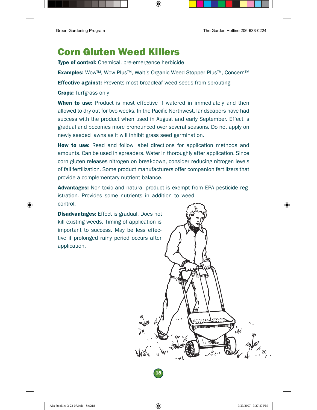### <span id="page-19-0"></span>Corn Gluten Weed Killers

Type of control: Chemical, pre-emergence herbicide

Examples: Wow™, Wow Plus™, Walt's Organic Weed Stopper Plus™, Concern™

**Effective against:** Prevents most broadleaf weed seeds from sprouting

Crops: Turfgrass only

When to use: Product is most effective if watered in immediately and then allowed to dry out for two weeks. In the Pacific Northwest, landscapers have had success with the product when used in August and early September. Effect is gradual and becomes more pronounced over several seasons. Do not apply on newly seeded lawns as it will inhibit grass seed germination.

**How to use:** Read and follow label directions for application methods and amounts. Can be used in spreaders. Water in thoroughly after application. Since corn gluten releases nitrogen on breakdown, consider reducing nitrogen levels of fall fertilization. Some product manufacturers offer companion fertilizers that provide a complementary nutrient balance.

Advantages: Non-toxic and natural product is exempt from EPA pesticide registration. Provides some nutrients in addition to weed control.

**Disadvantages:** Effect is gradual. Does not kill existing weeds. Timing of application is important to success. May be less effective if prolonged rainy period occurs after application.

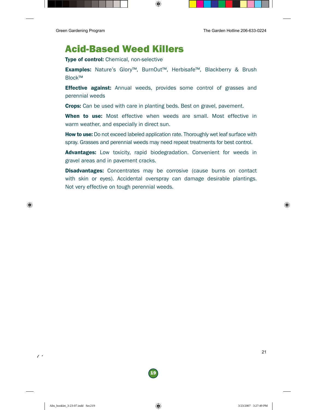$\prime\,$   $^{\prime}$ 

### <span id="page-20-0"></span>Acid-Based Weed Killers

Type of control: Chemical, non-selective

Examples: Nature's Glory™, BurnOut™, Herbisafe™, Blackberry & Brush Block™

**Effective against:** Annual weeds, provides some control of grasses and perennial weeds

**Crops:** Can be used with care in planting beds. Best on gravel, pavement.

When to use: Most effective when weeds are small. Most effective in warm weather, and especially in direct sun.

**How to use:** Do not exceed labeled application rate. Thoroughly wet leaf surface with spray. Grasses and perennial weeds may need repeat treatments for best control.

Advantages: Low toxicity, rapid biodegradation. Convenient for weeds in gravel areas and in pavement cracks.

**Disadvantages:** Concentrates may be corrosive (cause burns on contact with skin or eyes). Accidental overspray can damage desirable plantings. Not very effective on tough perennial weeds.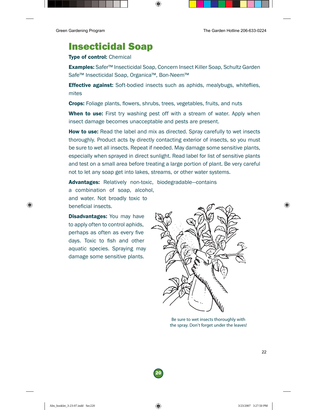### <span id="page-21-0"></span>Insecticidal Soap

#### Type of control: Chemical

Examples: Safer™ Insecticidal Soap, Concern Insect Killer Soap, Schultz Garden Safe<sup>™</sup> Insecticidal Soap, Organica<sup>™</sup>, Bon-Neem™

**Effective against:** Soft-bodied insects such as aphids, mealybugs, whiteflies, mites

**Crops:** Foliage plants, flowers, shrubs, trees, vegetables, fruits, and nuts

When to use: First try washing pest off with a stream of water. Apply when insect damage becomes unacceptable and pests are present.

**How to use:** Read the label and mix as directed. Spray carefully to wet insects thoroughly. Product acts by directly contacting exterior of insects, so you must be sure to wet all insects. Repeat if needed. May damage some sensitive plants, especially when sprayed in direct sunlight. Read label for list of sensitive plants and test on a small area before treating a large portion of plant. Be very careful not to let any soap get into lakes, streams, or other water systems.

Advantages: Relatively non-toxic, biodegradable-contains

a combination of soap, alcohol, and water. Not broadly toxic to beneficial insects.

**Disadvantages:** You may have to apply often to control aphids, perhaps as often as every five days. Toxic to fish and other aquatic species. Spraying may damage some sensitive plants.



Be sure to wet insects thoroughly with the spray. Don't forget under the leaves!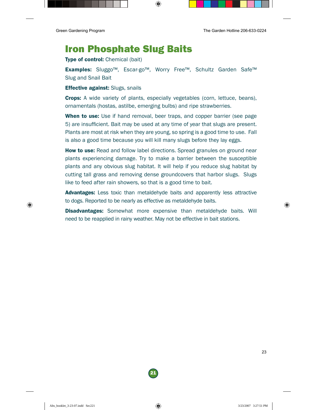### <span id="page-22-0"></span>Iron Phosphate Slug Baits

Type of control: Chemical (bait)

Examples: Sluggo™, Escar-go™, Worry Free™, Schultz Garden Safe™ Slug and Snail Bait

**Effective against:** Slugs, snails

Crops: A wide variety of plants, especially vegetables (corn, lettuce, beans), ornamentals (hostas, astilbe, emerging bulbs) and ripe strawberries.

When to use: Use if hand removal, beer traps, and copper barrier (see page 5) are insufficient. Bait may be used at any time of year that slugs are present. Plants are most at risk when they are young, so spring is a good time to use. Fall is also a good time because you will kill many slugs before they lay eggs.

**How to use:** Read and follow label directions. Spread granules on ground near plants experiencing damage. Try to make a barrier between the susceptible plants and any obvious slug habitat. It will help if you reduce slug habitat by cutting tall grass and removing dense groundcovers that harbor slugs. Slugs like to feed after rain showers, so that is a good time to bait.

Advantages: Less toxic than metaldehyde baits and apparently less attractive to dogs. Reported to be nearly as effective as metaldehyde baits.

**Disadvantages:** Somewhat more expensive than metaldehyde baits. Will need to be reapplied in rainy weather. May not be effective in bait stations.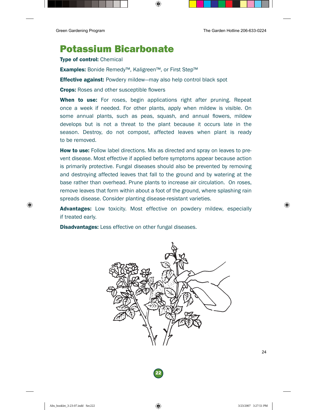### <span id="page-23-0"></span>Potassium Bicarbonate

Type of control: Chemical

Examples: Bonide Remedy™, Kaligreen™, or First Step™

**Effective against:** Powdery mildew—may also help control black spot

**Crops:** Roses and other susceptible flowers

When to use: For roses, begin applications right after pruning. Repeat once a week if needed. For other plants, apply when mildew is visible. On some annual plants, such as peas, squash, and annual flowers, mildew develops but is not a threat to the plant because it occurs late in the season. Destroy, do not compost, affected leaves when plant is ready to be removed.

**How to use:** Follow label directions. Mix as directed and spray on leaves to prevent disease. Most effective if applied before symptoms appear because action is primarily protective. Fungal diseases should also be prevented by removing and destroying affected leaves that fall to the ground and by watering at the base rather than overhead. Prune plants to increase air circulation. On roses, remove leaves that form within about a foot of the ground, where splashing rain spreads disease. Consider planting disease-resistant varieties.

Advantages: Low toxicity. Most effective on powdery mildew, especially if treated early.

**Disadvantages:** Less effective on other fungal diseases.

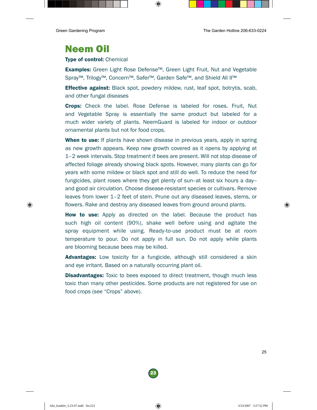# <span id="page-24-0"></span>Neem Oil

#### Type of control: Chemical

Examples: Green Light Rose Defense™, Green Light Fruit, Nut and Vegetable Spray™, Trilogy™, Concern™, Safer™, Garden Safe™, and Shield All II™

**Effective against:** Black spot, powdery mildew, rust, leaf spot, botrytis, scab, and other fungal diseases

Crops: Check the label. Rose Defense is labeled for roses. Fruit, Nut and Vegetable Spray is essentially the same product but labeled for a much wider variety of plants. NeemGuard is labeled for indoor or outdoor ornamental plants but not for food crops.

**When to use:** If plants have shown disease in previous years, apply in spring as new growth appears. Keep new growth covered as it opens by applying at 1–2 week intervals. Stop treatment if bees are present. Will not stop disease of affected foliage already showing black spots. However, many plants can go for years with some mildew or black spot and still do well. To reduce the need for fungicides, plant roses where they get plenty of sun--at least six hours a day- and good air circulation. Choose disease-resistant species or cultivars. Remove leaves from lower 1–2 feet of stem. Prune out any diseased leaves, stems, or flowers. Rake and destroy any diseased leaves from ground around plants.

**How to use:** Apply as directed on the label. Because the product has such high oil content (90%), shake well before using and agitate the spray equipment while using. Ready-to-use product must be at room temperature to pour. Do not apply in full sun. Do not apply while plants are blooming because bees may be killed.

**Advantages:** Low toxicity for a fungicide, although still considered a skin and eye irritant. Based on a naturally occurring plant oil.

**Disadvantages:** Toxic to bees exposed to direct treatment, though much less toxic than many other pesticides. Some products are not registered for use on food crops (see "Crops" above).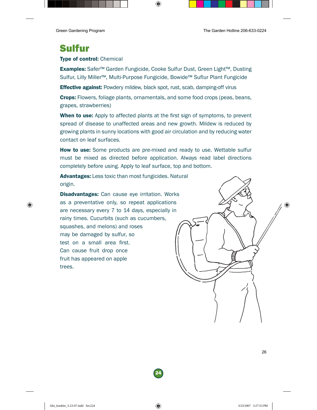# <span id="page-25-0"></span>Sulfur

#### Type of control: Chemical

Examples: Safer™ Garden Fungicide, Cooke Sulfur Dust, Green Light™, Dusting Sulfur, Lilly Miller™, Multi-Purpose Fungicide, Bowide™ Suflur Plant Fungicide

**Effective against:** Powdery mildew, black spot, rust, scab, damping-off virus

Crops: Flowers, foliage plants, ornamentals, and some food crops (peas, beans, grapes, strawberries)

**When to use:** Apply to affected plants at the first sign of symptoms, to prevent spread of disease to unaffected areas and new growth. Mildew is reduced by growing plants in sunny locations with good air circulation and by reducing water contact on leaf surfaces.

**How to use:** Some products are pre-mixed and ready to use. Wettable sulfur must be mixed as directed before application. Always read label directions completely before using. Apply to leaf surface, top and bottom.

Advantages: Less toxic than most fungicides. Natural origin.

**Disadvantages:** Can cause eye irritation. Works as a preventative only, so repeat applications are necessary every 7 to 14 days, especially in rainy times. Cucurbits (such as cucumbers, squashes, and melons) and roses may be damaged by sulfur, so test on a small area first. Can cause fruit drop once fruit has appeared on apple trees.

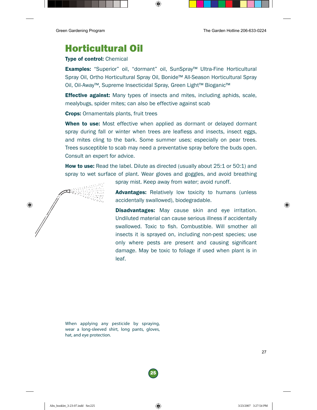## <span id="page-26-0"></span>Horticultural Oil

#### Type of control: Chemical

Examples: "Superior" oil, "dormant" oil, SunSpray™ Ultra-Fine Horticultural Spray Oil, Ortho Horticultural Spray Oil, Bonide™ All-Season Horticultural Spray Oil, Oil-Away™, Supreme Insecticidal Spray, Green Light™ Bioganic™

**Effective against:** Many types of insects and mites, including aphids, scale, mealybugs, spider mites; can also be effective against scab

Crops: Ornamentals plants, fruit trees

When to use: Most effective when applied as dormant or delayed dormant spray during fall or winter when trees are leafless and insects, insect eggs, and mites cling to the bark. Some summer uses; especially on pear trees. Trees susceptible to scab may need a preventative spray before the buds open. Consult an expert for advice.

**How to use:** Read the label. Dilute as directed (usually about 25:1 or 50:1) and spray to wet surface of plant. Wear gloves and goggles, and avoid breathing



spray mist. Keep away from water; avoid runoff.

Advantages: Relatively low toxicity to humans (unless accidentally swallowed), biodegradable.

**Disadvantages:** May cause skin and eye irritation. Undiluted material can cause serious illness if accidentally swallowed. Toxic to fish. Combustible. Will smother all insects it is sprayed on, including non-pest species; use only where pests are present and causing significant damage. May be toxic to foliage if used when plant is in leaf.

When applying any pesticide by spraying, wear a long-sleeved shirt, long pants, gloves, hat, and eye protection.